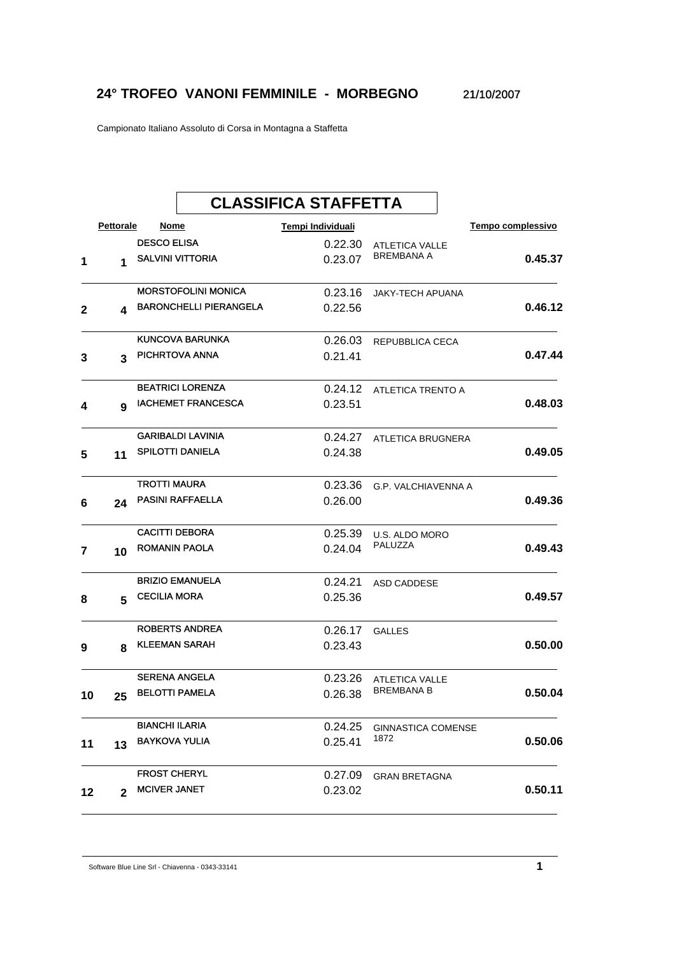## **24° TROFEO VANONI FEMMINILE - MORBEGNO** 21/10/2007

Campionato Italiano Assoluto di Corsa in Montagna a Staffetta

|        |              |                       | <b>CLASSIFICA STAFFETTA</b>   |                   |                         |                   |  |
|--------|--------------|-----------------------|-------------------------------|-------------------|-------------------------|-------------------|--|
|        | Pettorale    | Nome                  |                               | Tempi Individuali |                         | Tempo complessivo |  |
|        |              | <b>DESCO ELISA</b>    |                               | 0.22.30           | <b>ATLETICA VALLE</b>   |                   |  |
| 1      | 1            |                       | <b>SALVINI VITTORIA</b>       | 0.23.07           | <b>BREMBANA A</b>       | 0.45.37           |  |
|        |              |                       | <b>MORSTOFOLINI MONICA</b>    | 0.23.16           | <b>JAKY-TECH APUANA</b> |                   |  |
| 2      | 4            |                       | <b>BARONCHELLI PIERANGELA</b> | 0.22.56           |                         | 0.46.12           |  |
|        |              |                       | KUNCOVA BARUNKA               | 0.26.03           | REPUBBLICA CECA         |                   |  |
| 3      | 3            |                       | PICHRTOVA ANNA                | 0.21.41           |                         | 0.47.44           |  |
|        |              |                       | <b>BEATRICI LORENZA</b>       | 0.24.12           | ATLETICA TRENTO A       |                   |  |
| 4      | 9            |                       | <b>IACHEMET FRANCESCA</b>     | 0.23.51           |                         | 0.48.03           |  |
|        |              |                       | <b>GARIBALDI LAVINIA</b>      | 0.24.27           | ATLETICA BRUGNERA       |                   |  |
| 5      | 11           |                       | <b>SPILOTTI DANIELA</b>       | 0.24.38           |                         | 0.49.05           |  |
|        |              | <b>TROTTI MAURA</b>   |                               | 0.23.36           | G.P. VALCHIAVENNA A     |                   |  |
| 6<br>7 | 24           |                       | <b>PASINI RAFFAELLA</b>       | 0.26.00           |                         | 0.49.36           |  |
|        |              | <b>CACITTI DEBORA</b> |                               | 0.25.39           | U.S. ALDO MORO          |                   |  |
|        | 10           | <b>ROMANIN PAOLA</b>  |                               | 0.24.04           | PALUZZA                 | 0.49.43           |  |
|        |              |                       | <b>BRIZIO EMANUELA</b>        | 0.24.21           | ASD CADDESE             |                   |  |
| 8      | 5            | <b>CECILIA MORA</b>   |                               | 0.25.36           |                         | 0.49.57           |  |
|        |              |                       | <b>ROBERTS ANDREA</b>         | 0.26.17           | <b>GALLES</b>           |                   |  |
| 9      | 8            | <b>KLEEMAN SARAH</b>  |                               | 0.23.43           |                         | 0.50.00           |  |
|        |              |                       | <b>SERENA ANGELA</b>          | 0.23.26           | <b>ATLETICA VALLE</b>   |                   |  |
| 10     | 25           | <b>BELOTTI PAMELA</b> |                               | 0.26.38           | <b>BREMBANA B</b>       | 0.50.04           |  |
|        |              | <b>BIANCHI ILARIA</b> |                               | 0.24.25           | GINNASTICA COMENSE      |                   |  |
| 11     | 13           | <b>BAYKOVA YULIA</b>  |                               | 0.25.41           | 1872                    | 0.50.06           |  |
|        |              | <b>FROST CHERYL</b>   |                               | 0.27.09           | <b>GRAN BRETAGNA</b>    |                   |  |
| 12     | $\mathbf{2}$ | <b>MCIVER JANET</b>   |                               | 0.23.02           |                         | 0.50.11           |  |

Software Blue Line Srl - Chiavenna - 0343-33141 **1**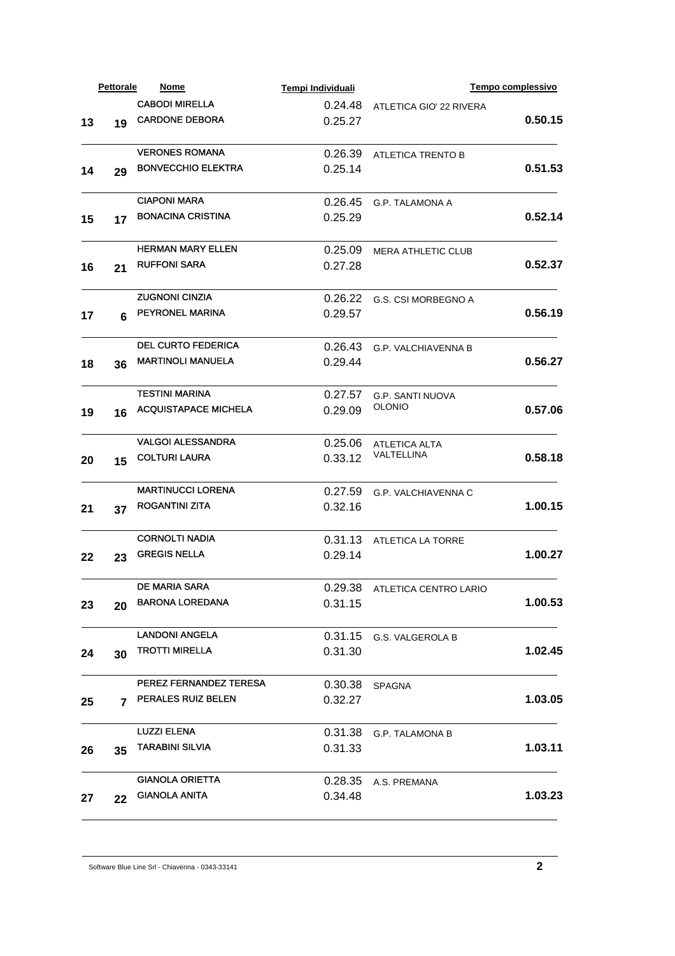| <b>CABODI MIRELLA</b><br>0.24.48<br>ATLETICA GIO' 22 RIVERA<br><b>CARDONE DEBORA</b><br>0.25.27<br>13<br>19<br><b>VERONES ROMANA</b><br>0.26.39<br>ATLETICA TRENTO B<br><b>BONVECCHIO ELEKTRA</b><br>0.25.14<br>14<br>29<br><b>CIAPONI MARA</b><br>0.26.45<br><b>G.P. TALAMONA A</b><br><b>BONACINA CRISTINA</b><br>0.25.29<br>15<br>17<br><b>HERMAN MARY ELLEN</b><br>0.25.09<br><b>MERA ATHLETIC CLUB</b><br><b>RUFFONI SARA</b><br>0.27.28<br>16<br>21<br><b>ZUGNONI CINZIA</b><br>0.26.22<br>G.S. CSI MORBEGNO A<br>PEYRONEL MARINA<br>0.29.57<br>17<br>6<br><b>DEL CURTO FEDERICA</b><br>0.26.43<br>G.P. VALCHIAVENNA B<br><b>MARTINOLI MANUELA</b><br>0.29.44 | 0.50.15<br>0.51.53<br>0.52.14<br>0.52.37 |
|---------------------------------------------------------------------------------------------------------------------------------------------------------------------------------------------------------------------------------------------------------------------------------------------------------------------------------------------------------------------------------------------------------------------------------------------------------------------------------------------------------------------------------------------------------------------------------------------------------------------------------------------------------------------|------------------------------------------|
|                                                                                                                                                                                                                                                                                                                                                                                                                                                                                                                                                                                                                                                                     |                                          |
|                                                                                                                                                                                                                                                                                                                                                                                                                                                                                                                                                                                                                                                                     |                                          |
|                                                                                                                                                                                                                                                                                                                                                                                                                                                                                                                                                                                                                                                                     |                                          |
|                                                                                                                                                                                                                                                                                                                                                                                                                                                                                                                                                                                                                                                                     |                                          |
|                                                                                                                                                                                                                                                                                                                                                                                                                                                                                                                                                                                                                                                                     |                                          |
|                                                                                                                                                                                                                                                                                                                                                                                                                                                                                                                                                                                                                                                                     |                                          |
|                                                                                                                                                                                                                                                                                                                                                                                                                                                                                                                                                                                                                                                                     |                                          |
|                                                                                                                                                                                                                                                                                                                                                                                                                                                                                                                                                                                                                                                                     |                                          |
|                                                                                                                                                                                                                                                                                                                                                                                                                                                                                                                                                                                                                                                                     |                                          |
|                                                                                                                                                                                                                                                                                                                                                                                                                                                                                                                                                                                                                                                                     | 0.56.19                                  |
|                                                                                                                                                                                                                                                                                                                                                                                                                                                                                                                                                                                                                                                                     |                                          |
| 18<br>36                                                                                                                                                                                                                                                                                                                                                                                                                                                                                                                                                                                                                                                            | 0.56.27                                  |
| TESTINI MARINA<br>0.27.57<br><b>G.P. SANTI NUOVA</b>                                                                                                                                                                                                                                                                                                                                                                                                                                                                                                                                                                                                                |                                          |
| <b>OLONIO</b><br><b>ACQUISTAPACE MICHELA</b><br>0.29.09<br>19<br>16                                                                                                                                                                                                                                                                                                                                                                                                                                                                                                                                                                                                 | 0.57.06                                  |
| <b>VALGOI ALESSANDRA</b><br>0.25.06<br><b>ATLETICA ALTA</b>                                                                                                                                                                                                                                                                                                                                                                                                                                                                                                                                                                                                         |                                          |
| VALTELLINA<br><b>COLTURI LAURA</b><br>0.33.12<br>20<br>15                                                                                                                                                                                                                                                                                                                                                                                                                                                                                                                                                                                                           | 0.58.18                                  |
| <b>MARTINUCCI LORENA</b><br>0.27.59<br><b>G.P. VALCHIAVENNA C</b>                                                                                                                                                                                                                                                                                                                                                                                                                                                                                                                                                                                                   |                                          |
| <b>ROGANTINI ZITA</b><br>0.32.16<br>21<br>37                                                                                                                                                                                                                                                                                                                                                                                                                                                                                                                                                                                                                        | 1.00.15                                  |
| <b>CORNOLTI NADIA</b><br>0.31.13<br>ATLETICA LA TORRE                                                                                                                                                                                                                                                                                                                                                                                                                                                                                                                                                                                                               |                                          |
| <b>GREGIS NELLA</b><br>0.29.14<br>22<br>23                                                                                                                                                                                                                                                                                                                                                                                                                                                                                                                                                                                                                          | 1.00.27                                  |
| DE MARIA SARA<br>0.29.38 ATLETICA CENTRO LARIO                                                                                                                                                                                                                                                                                                                                                                                                                                                                                                                                                                                                                      |                                          |
| <b>BARONA LOREDANA</b><br>0.31.15<br>23<br>20                                                                                                                                                                                                                                                                                                                                                                                                                                                                                                                                                                                                                       | 1.00.53                                  |
| <b>LANDONI ANGELA</b><br>0.31.15 G.S. VALGEROLA B                                                                                                                                                                                                                                                                                                                                                                                                                                                                                                                                                                                                                   |                                          |
| <b>TROTTI MIRELLA</b><br>0.31.30<br>24<br>30                                                                                                                                                                                                                                                                                                                                                                                                                                                                                                                                                                                                                        | 1.02.45                                  |
| PEREZ FERNANDEZ TERESA<br>0.30.38<br><b>SPAGNA</b>                                                                                                                                                                                                                                                                                                                                                                                                                                                                                                                                                                                                                  |                                          |
| PERALES RUIZ BELEN<br>0.32.27<br>25<br>7                                                                                                                                                                                                                                                                                                                                                                                                                                                                                                                                                                                                                            | 1.03.05                                  |
| <b>LUZZI ELENA</b><br>0.31.38 G.P. TALAMONA B                                                                                                                                                                                                                                                                                                                                                                                                                                                                                                                                                                                                                       |                                          |
| <b>TARABINI SILVIA</b><br>0.31.33<br>26<br>35                                                                                                                                                                                                                                                                                                                                                                                                                                                                                                                                                                                                                       | 1.03.11                                  |
| <b>GIANOLA ORIETTA</b><br>0.28.35 A.S. PREMANA                                                                                                                                                                                                                                                                                                                                                                                                                                                                                                                                                                                                                      |                                          |
| <b>GIANOLA ANITA</b><br>0.34.48<br>27<br>22                                                                                                                                                                                                                                                                                                                                                                                                                                                                                                                                                                                                                         |                                          |

Software Blue Line Srl - Chiavenna - 0343-33141 **2**